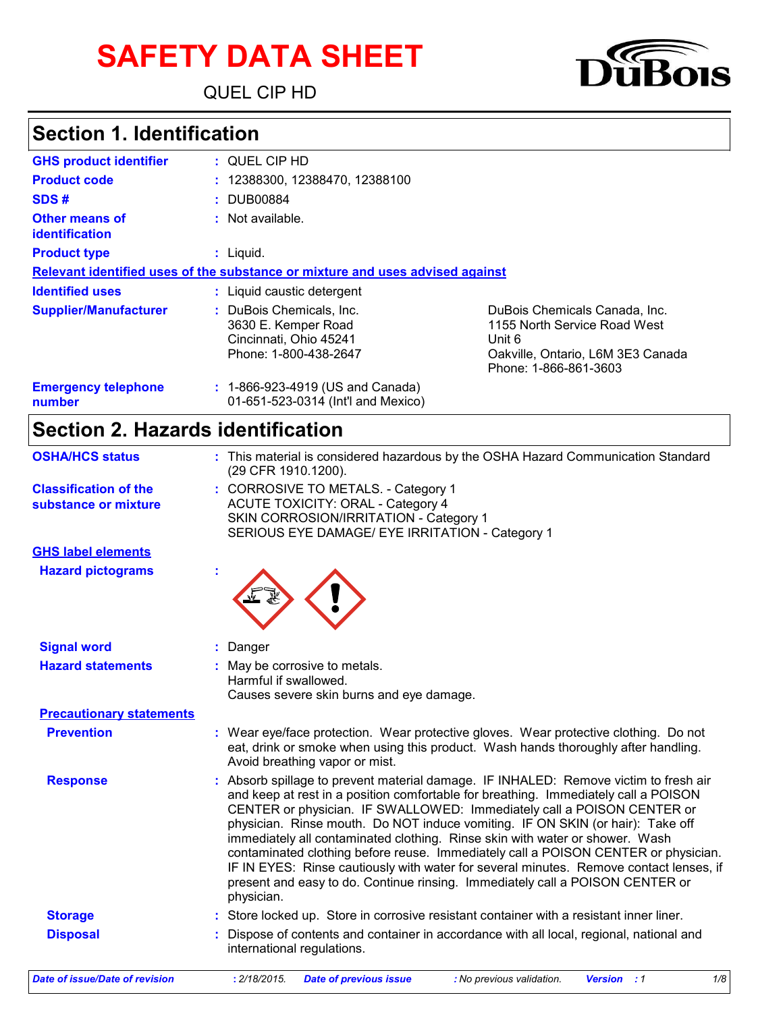# **SAFETY DATA SHEET**

QUEL CIP HD



### **Section 1. Identification**

| <b>GHS product identifier</b>        | : QUEL CIP HD                                                                                      |                                                                                                                                       |  |
|--------------------------------------|----------------------------------------------------------------------------------------------------|---------------------------------------------------------------------------------------------------------------------------------------|--|
| <b>Product code</b>                  | : 12388300, 12388470, 12388100                                                                     |                                                                                                                                       |  |
| SDS#                                 | : DUB00884                                                                                         |                                                                                                                                       |  |
| Other means of<br>identification     | : Not available.                                                                                   |                                                                                                                                       |  |
| <b>Product type</b>                  | $:$ Liquid.                                                                                        |                                                                                                                                       |  |
|                                      | Relevant identified uses of the substance or mixture and uses advised against                      |                                                                                                                                       |  |
| <b>Identified uses</b>               | : Liquid caustic detergent                                                                         |                                                                                                                                       |  |
| <b>Supplier/Manufacturer</b>         | : DuBois Chemicals, Inc.<br>3630 E. Kemper Road<br>Cincinnati, Ohio 45241<br>Phone: 1-800-438-2647 | DuBois Chemicals Canada, Inc.<br>1155 North Service Road West<br>Unit 6<br>Oakville, Ontario, L6M 3E3 Canada<br>Phone: 1-866-861-3603 |  |
| <b>Emergency telephone</b><br>number | : 1-866-923-4919 (US and Canada)<br>01-651-523-0314 (Int'l and Mexico)                             |                                                                                                                                       |  |

## **Section 2. Hazards identification**

| <b>OSHA/HCS status</b>                               | : This material is considered hazardous by the OSHA Hazard Communication Standard<br>(29 CFR 1910.1200).                                                                                                                                                                                                                                                                                                                                                                                                                                                                                                                                                                                             |  |  |
|------------------------------------------------------|------------------------------------------------------------------------------------------------------------------------------------------------------------------------------------------------------------------------------------------------------------------------------------------------------------------------------------------------------------------------------------------------------------------------------------------------------------------------------------------------------------------------------------------------------------------------------------------------------------------------------------------------------------------------------------------------------|--|--|
| <b>Classification of the</b><br>substance or mixture | : CORROSIVE TO METALS. - Category 1<br><b>ACUTE TOXICITY: ORAL - Category 4</b><br>SKIN CORROSION/IRRITATION - Category 1<br>SERIOUS EYE DAMAGE/ EYE IRRITATION - Category 1                                                                                                                                                                                                                                                                                                                                                                                                                                                                                                                         |  |  |
| <b>GHS label elements</b>                            |                                                                                                                                                                                                                                                                                                                                                                                                                                                                                                                                                                                                                                                                                                      |  |  |
| <b>Hazard pictograms</b>                             |                                                                                                                                                                                                                                                                                                                                                                                                                                                                                                                                                                                                                                                                                                      |  |  |
| <b>Signal word</b>                                   | Danger                                                                                                                                                                                                                                                                                                                                                                                                                                                                                                                                                                                                                                                                                               |  |  |
| <b>Hazard statements</b>                             | : May be corrosive to metals.<br>Harmful if swallowed.<br>Causes severe skin burns and eye damage.                                                                                                                                                                                                                                                                                                                                                                                                                                                                                                                                                                                                   |  |  |
| <b>Precautionary statements</b>                      |                                                                                                                                                                                                                                                                                                                                                                                                                                                                                                                                                                                                                                                                                                      |  |  |
| <b>Prevention</b>                                    | : Wear eye/face protection. Wear protective gloves. Wear protective clothing. Do not<br>eat, drink or smoke when using this product. Wash hands thoroughly after handling.<br>Avoid breathing vapor or mist.                                                                                                                                                                                                                                                                                                                                                                                                                                                                                         |  |  |
| <b>Response</b>                                      | Absorb spillage to prevent material damage. IF INHALED: Remove victim to fresh air<br>and keep at rest in a position comfortable for breathing. Immediately call a POISON<br>CENTER or physician. IF SWALLOWED: Immediately call a POISON CENTER or<br>physician. Rinse mouth. Do NOT induce vomiting. IF ON SKIN (or hair): Take off<br>immediately all contaminated clothing. Rinse skin with water or shower. Wash<br>contaminated clothing before reuse. Immediately call a POISON CENTER or physician.<br>IF IN EYES: Rinse cautiously with water for several minutes. Remove contact lenses, if<br>present and easy to do. Continue rinsing. Immediately call a POISON CENTER or<br>physician. |  |  |
| <b>Storage</b>                                       | : Store locked up. Store in corrosive resistant container with a resistant inner liner.                                                                                                                                                                                                                                                                                                                                                                                                                                                                                                                                                                                                              |  |  |
| <b>Disposal</b>                                      | Dispose of contents and container in accordance with all local, regional, national and<br>international regulations.                                                                                                                                                                                                                                                                                                                                                                                                                                                                                                                                                                                 |  |  |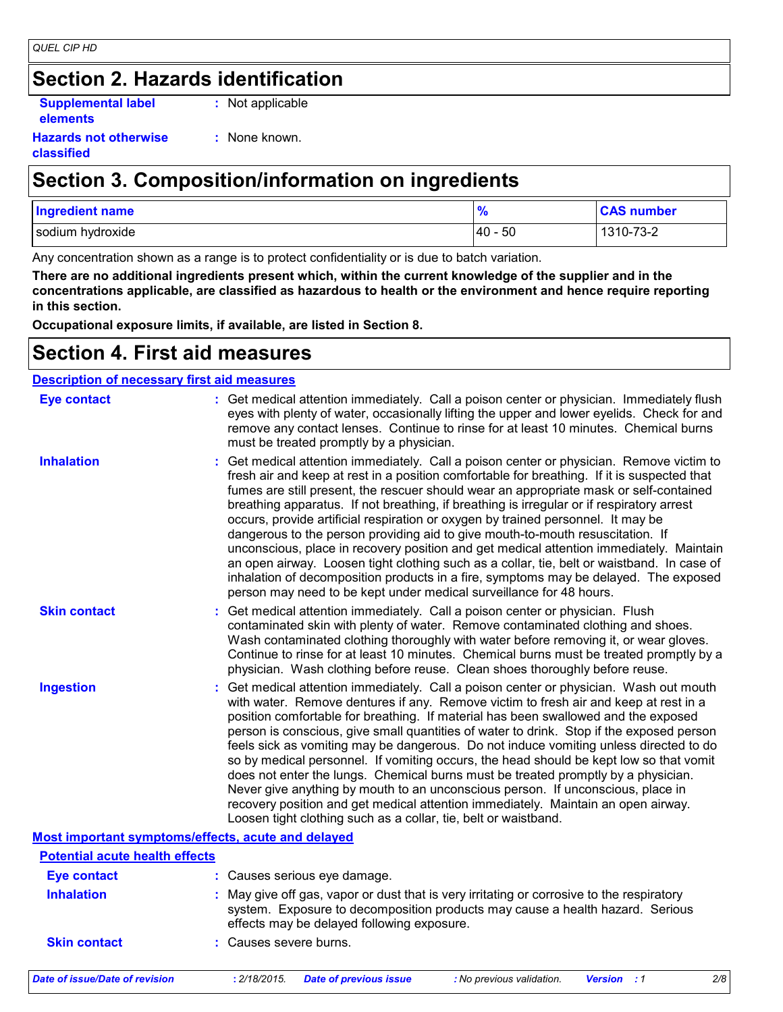## **Section 2. Hazards identification**

**Supplemental label elements**

**:** Not applicable

**Hazards not otherwise classified**

**:** None known.

### **Section 3. Composition/information on ingredients**

| <b>Ingredient name</b> | 70         | <b>CAS number</b> |
|------------------------|------------|-------------------|
| sodium hydroxide       | -50<br>140 | 1310-73-2         |

Any concentration shown as a range is to protect confidentiality or is due to batch variation.

**There are no additional ingredients present which, within the current knowledge of the supplier and in the concentrations applicable, are classified as hazardous to health or the environment and hence require reporting in this section.**

**Occupational exposure limits, if available, are listed in Section 8.**

### **Section 4. First aid measures**

| <b>Description of necessary first aid measures</b> |                                                                                                                                                                                                                                                                                                                                                                                                                                                                                                                                                                                                                                                                                                                                                                                                                                                                                                              |
|----------------------------------------------------|--------------------------------------------------------------------------------------------------------------------------------------------------------------------------------------------------------------------------------------------------------------------------------------------------------------------------------------------------------------------------------------------------------------------------------------------------------------------------------------------------------------------------------------------------------------------------------------------------------------------------------------------------------------------------------------------------------------------------------------------------------------------------------------------------------------------------------------------------------------------------------------------------------------|
| <b>Eye contact</b>                                 | : Get medical attention immediately. Call a poison center or physician. Immediately flush<br>eyes with plenty of water, occasionally lifting the upper and lower eyelids. Check for and<br>remove any contact lenses. Continue to rinse for at least 10 minutes. Chemical burns<br>must be treated promptly by a physician.                                                                                                                                                                                                                                                                                                                                                                                                                                                                                                                                                                                  |
| <b>Inhalation</b>                                  | : Get medical attention immediately. Call a poison center or physician. Remove victim to<br>fresh air and keep at rest in a position comfortable for breathing. If it is suspected that<br>fumes are still present, the rescuer should wear an appropriate mask or self-contained<br>breathing apparatus. If not breathing, if breathing is irregular or if respiratory arrest<br>occurs, provide artificial respiration or oxygen by trained personnel. It may be<br>dangerous to the person providing aid to give mouth-to-mouth resuscitation. If<br>unconscious, place in recovery position and get medical attention immediately. Maintain<br>an open airway. Loosen tight clothing such as a collar, tie, belt or waistband. In case of<br>inhalation of decomposition products in a fire, symptoms may be delayed. The exposed<br>person may need to be kept under medical surveillance for 48 hours. |
| <b>Skin contact</b>                                | : Get medical attention immediately. Call a poison center or physician. Flush<br>contaminated skin with plenty of water. Remove contaminated clothing and shoes.<br>Wash contaminated clothing thoroughly with water before removing it, or wear gloves.<br>Continue to rinse for at least 10 minutes. Chemical burns must be treated promptly by a<br>physician. Wash clothing before reuse. Clean shoes thoroughly before reuse.                                                                                                                                                                                                                                                                                                                                                                                                                                                                           |
| <b>Ingestion</b>                                   | : Get medical attention immediately. Call a poison center or physician. Wash out mouth<br>with water. Remove dentures if any. Remove victim to fresh air and keep at rest in a<br>position comfortable for breathing. If material has been swallowed and the exposed<br>person is conscious, give small quantities of water to drink. Stop if the exposed person<br>feels sick as vomiting may be dangerous. Do not induce vomiting unless directed to do<br>so by medical personnel. If vomiting occurs, the head should be kept low so that vomit<br>does not enter the lungs. Chemical burns must be treated promptly by a physician.<br>Never give anything by mouth to an unconscious person. If unconscious, place in<br>recovery position and get medical attention immediately. Maintain an open airway.<br>Loosen tight clothing such as a collar, tie, belt or waistband.                          |
|                                                    | <b>Most important symptoms/effects, acute and delayed</b>                                                                                                                                                                                                                                                                                                                                                                                                                                                                                                                                                                                                                                                                                                                                                                                                                                                    |
| <b>Potential acute health effects</b>              |                                                                                                                                                                                                                                                                                                                                                                                                                                                                                                                                                                                                                                                                                                                                                                                                                                                                                                              |
| <b>Eye contact</b>                                 | : Causes serious eye damage.                                                                                                                                                                                                                                                                                                                                                                                                                                                                                                                                                                                                                                                                                                                                                                                                                                                                                 |
| <b>Inhalation</b>                                  | : May give off gas, vapor or dust that is very irritating or corrosive to the respiratory<br>system. Exposure to decomposition products may cause a health hazard. Serious<br>effects may be delayed following exposure.                                                                                                                                                                                                                                                                                                                                                                                                                                                                                                                                                                                                                                                                                     |
| <b>Skin contact</b>                                | : Causes severe burns.                                                                                                                                                                                                                                                                                                                                                                                                                                                                                                                                                                                                                                                                                                                                                                                                                                                                                       |
| <b>Date of issue/Date of revision</b>              | : 2/18/2015.<br>2/8<br><b>Date of previous issue</b><br>Version : 1<br>: No previous validation.                                                                                                                                                                                                                                                                                                                                                                                                                                                                                                                                                                                                                                                                                                                                                                                                             |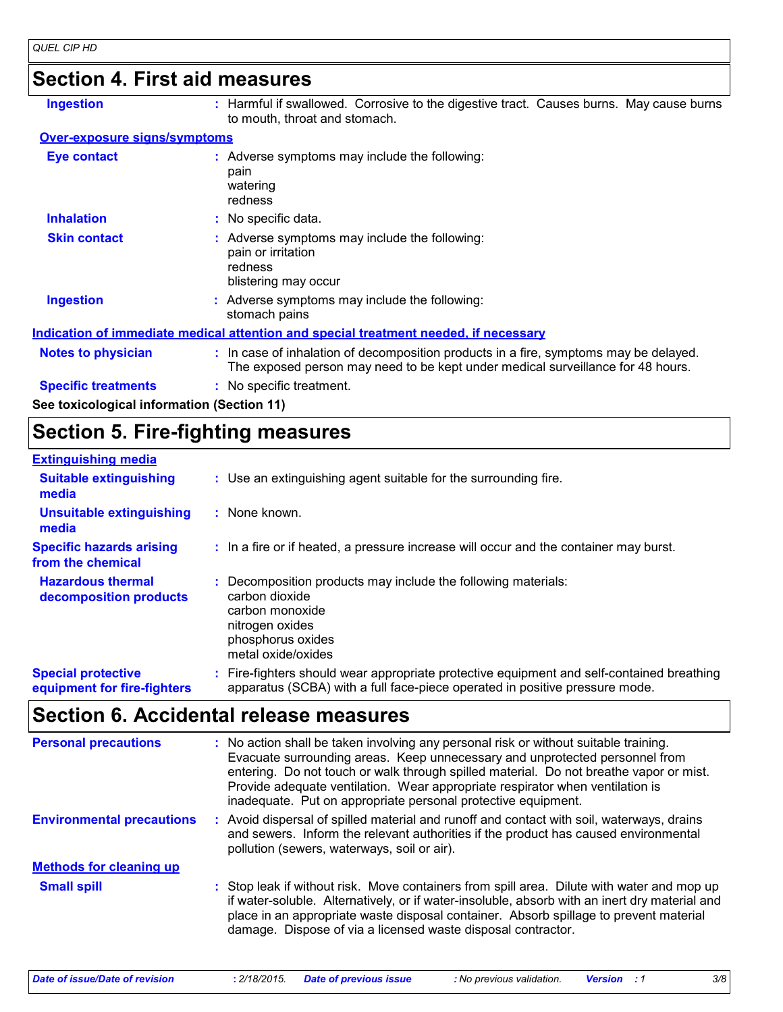### **Section 4. First aid measures**

**Ingestion :**

: Harmful if swallowed. Corrosive to the digestive tract. Causes burns. May cause burns to mouth, throat and stomach.

#### **Over-exposure signs/symptoms**

| <b>Eye contact</b>                         | : Adverse symptoms may include the following:<br>pain<br>watering<br>redness                                                                                             |
|--------------------------------------------|--------------------------------------------------------------------------------------------------------------------------------------------------------------------------|
| <b>Inhalation</b>                          | : No specific data.                                                                                                                                                      |
| <b>Skin contact</b>                        | : Adverse symptoms may include the following:<br>pain or irritation<br>redness<br>blistering may occur                                                                   |
| <b>Ingestion</b>                           | : Adverse symptoms may include the following:<br>stomach pains                                                                                                           |
|                                            | Indication of immediate medical attention and special treatment needed, if necessary                                                                                     |
| <b>Notes to physician</b>                  | : In case of inhalation of decomposition products in a fire, symptoms may be delayed.<br>The exposed person may need to be kept under medical surveillance for 48 hours. |
| <b>Specific treatments</b>                 | : No specific treatment.                                                                                                                                                 |
| See toxicological information (Section 11) |                                                                                                                                                                          |

### **Section 5. Fire-fighting measures**

| <b>Extinguishing media</b>                               |                                                                                                                                                                        |
|----------------------------------------------------------|------------------------------------------------------------------------------------------------------------------------------------------------------------------------|
| <b>Suitable extinguishing</b><br>media                   | : Use an extinguishing agent suitable for the surrounding fire.                                                                                                        |
| <b>Unsuitable extinguishing</b><br>media                 | : None known.                                                                                                                                                          |
| <b>Specific hazards arising</b><br>from the chemical     | : In a fire or if heated, a pressure increase will occur and the container may burst.                                                                                  |
| <b>Hazardous thermal</b><br>decomposition products       | Decomposition products may include the following materials:<br>carbon dioxide<br>carbon monoxide<br>nitrogen oxides<br>phosphorus oxides<br>metal oxide/oxides         |
| <b>Special protective</b><br>equipment for fire-fighters | Fire-fighters should wear appropriate protective equipment and self-contained breathing<br>apparatus (SCBA) with a full face-piece operated in positive pressure mode. |

### **Section 6. Accidental release measures**

| <b>Personal precautions</b>      | : No action shall be taken involving any personal risk or without suitable training.<br>Evacuate surrounding areas. Keep unnecessary and unprotected personnel from<br>entering. Do not touch or walk through spilled material. Do not breathe vapor or mist.<br>Provide adequate ventilation. Wear appropriate respirator when ventilation is<br>inadequate. Put on appropriate personal protective equipment. |
|----------------------------------|-----------------------------------------------------------------------------------------------------------------------------------------------------------------------------------------------------------------------------------------------------------------------------------------------------------------------------------------------------------------------------------------------------------------|
| <b>Environmental precautions</b> | Avoid dispersal of spilled material and runoff and contact with soil, waterways, drains<br>and sewers. Inform the relevant authorities if the product has caused environmental<br>pollution (sewers, waterways, soil or air).                                                                                                                                                                                   |
| <b>Methods for cleaning up</b>   |                                                                                                                                                                                                                                                                                                                                                                                                                 |
| <b>Small spill</b>               | : Stop leak if without risk. Move containers from spill area. Dilute with water and mop up<br>if water-soluble. Alternatively, or if water-insoluble, absorb with an inert dry material and<br>place in an appropriate waste disposal container. Absorb spillage to prevent material<br>damage. Dispose of via a licensed waste disposal contractor.                                                            |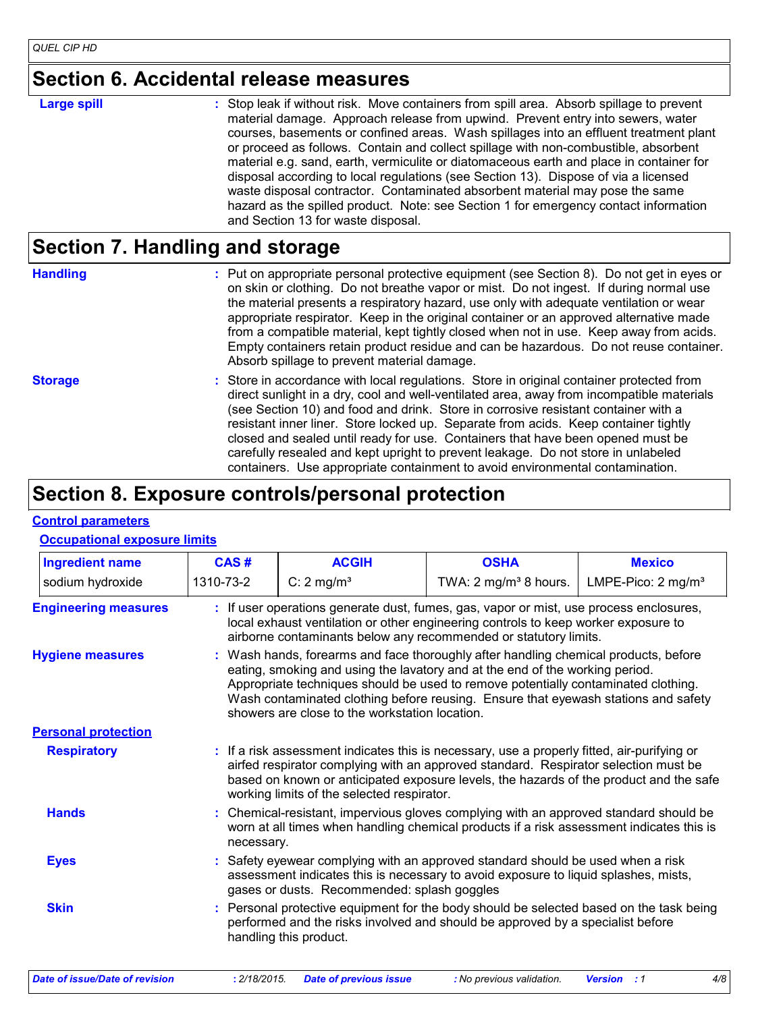### **Section 6. Accidental release measures**

**Large spill :**

: Stop leak if without risk. Move containers from spill area. Absorb spillage to prevent material damage. Approach release from upwind. Prevent entry into sewers, water courses, basements or confined areas. Wash spillages into an effluent treatment plant or proceed as follows. Contain and collect spillage with non-combustible, absorbent material e.g. sand, earth, vermiculite or diatomaceous earth and place in container for disposal according to local regulations (see Section 13). Dispose of via a licensed waste disposal contractor. Contaminated absorbent material may pose the same hazard as the spilled product. Note: see Section 1 for emergency contact information and Section 13 for waste disposal.

### **Section 7. Handling and storage**

**Handling** entries a metal on appropriate personal protective equipment (see Section 8). Do not get in eyes or and on skin or clothing. Do not breathe vapor or mist. Do not ingest. If during normal use the material presents a respiratory hazard, use only with adequate ventilation or wear appropriate respirator. Keep in the original container or an approved alternative made from a compatible material, kept tightly closed when not in use. Keep away from acids. Empty containers retain product residue and can be hazardous. Do not reuse container. Absorb spillage to prevent material damage.

**Storage** Store in accordance with local regulations. Store in original container protected from direct sunlight in a dry, cool and well-ventilated area, away from incompatible materials (see Section 10) and food and drink. Store in corrosive resistant container with a resistant inner liner. Store locked up. Separate from acids. Keep container tightly closed and sealed until ready for use. Containers that have been opened must be carefully resealed and kept upright to prevent leakage. Do not store in unlabeled containers. Use appropriate containment to avoid environmental contamination.

### **Section 8. Exposure controls/personal protection**

#### **Control parameters**

#### **Occupational exposure limits**

| <b>Ingredient name</b>      | CAS#                                                                                                                                                                                                                                                                                                                                                                                            | <b>ACGIH</b>                                                                                                                                                                                                                                   | <b>OSHA</b>                      | <b>Mexico</b>                 |  |
|-----------------------------|-------------------------------------------------------------------------------------------------------------------------------------------------------------------------------------------------------------------------------------------------------------------------------------------------------------------------------------------------------------------------------------------------|------------------------------------------------------------------------------------------------------------------------------------------------------------------------------------------------------------------------------------------------|----------------------------------|-------------------------------|--|
| sodium hydroxide            | 1310-73-2                                                                                                                                                                                                                                                                                                                                                                                       | C: $2 \text{ mg/m}^3$                                                                                                                                                                                                                          | TWA: $2 \text{ mg/m}^3$ 8 hours. | LMPE-Pico: $2 \text{ mg/m}^3$ |  |
| <b>Engineering measures</b> |                                                                                                                                                                                                                                                                                                                                                                                                 | If user operations generate dust, fumes, gas, vapor or mist, use process enclosures,<br>local exhaust ventilation or other engineering controls to keep worker exposure to<br>airborne contaminants below any recommended or statutory limits. |                                  |                               |  |
| <b>Hygiene measures</b>     | Wash hands, forearms and face thoroughly after handling chemical products, before<br>eating, smoking and using the lavatory and at the end of the working period.<br>Appropriate techniques should be used to remove potentially contaminated clothing.<br>Wash contaminated clothing before reusing. Ensure that eyewash stations and safety<br>showers are close to the workstation location. |                                                                                                                                                                                                                                                |                                  |                               |  |
| <b>Personal protection</b>  |                                                                                                                                                                                                                                                                                                                                                                                                 |                                                                                                                                                                                                                                                |                                  |                               |  |
| <b>Respiratory</b>          | : If a risk assessment indicates this is necessary, use a properly fitted, air-purifying or<br>airfed respirator complying with an approved standard. Respirator selection must be<br>based on known or anticipated exposure levels, the hazards of the product and the safe<br>working limits of the selected respirator.                                                                      |                                                                                                                                                                                                                                                |                                  |                               |  |
| <b>Hands</b>                |                                                                                                                                                                                                                                                                                                                                                                                                 | : Chemical-resistant, impervious gloves complying with an approved standard should be<br>worn at all times when handling chemical products if a risk assessment indicates this is<br>necessary.                                                |                                  |                               |  |
| <b>Eyes</b>                 |                                                                                                                                                                                                                                                                                                                                                                                                 | : Safety eyewear complying with an approved standard should be used when a risk<br>assessment indicates this is necessary to avoid exposure to liquid splashes, mists,<br>gases or dusts. Recommended: splash goggles                          |                                  |                               |  |
| <b>Skin</b>                 |                                                                                                                                                                                                                                                                                                                                                                                                 | Personal protective equipment for the body should be selected based on the task being<br>performed and the risks involved and should be approved by a specialist before<br>handling this product.                                              |                                  |                               |  |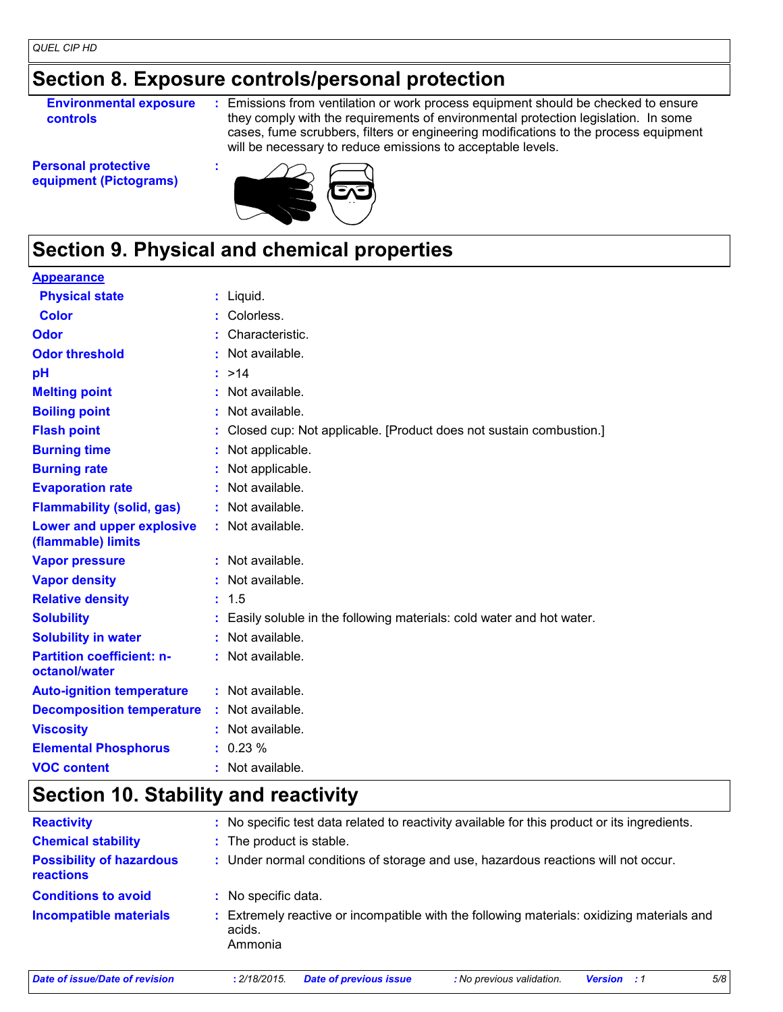### **Section 8. Exposure controls/personal protection**

**Environmental exposure controls**

**:** Emissions from ventilation or work process equipment should be checked to ensure they comply with the requirements of environmental protection legislation. In some cases, fume scrubbers, filters or engineering modifications to the process equipment will be necessary to reduce emissions to acceptable levels.

**Personal protective equipment (Pictograms)**



## **Section 9. Physical and chemical properties**

#### **Physical state Melting point Vapor pressure Relative density Vapor density Solubility** Liquid. **: :** Not available. 1.5 **: :** Not available. **:** Not available. Easily soluble in the following materials: cold water and hot water. **: Odor** : Characteristic. **pH Color** : Colorless. **Evaporation rate Auto-ignition temperature Flash point :** Not available. Closed cup: Not applicable. [Product does not sustain combustion.] **: :** Not available. >14 **: Viscosity Constitution Constitution Constitution Constitution Constitution Constitution Constitution Constitution Constitution Constitution Constitution Constitution Constitution Constitution Constitution Constitution C Odor threshold Partition coefficient: noctanol/water** : Not available. : Not available. **Appearance Boiling point :** Not available. **Flammability (solid, gas) :** Not available. **Lower and upper explosive (flammable) limits :** Not available. **Burning rate :** Not applicable. **Burning time :** Not applicable. **Decomposition temperature :** Not available. **Solubility in water :** Not available. **Elemental Phosphorus :** 0.23 % **VOC content :** Not available.

### **Section 10. Stability and reactivity**

| <b>Reactivity</b>                                   | No specific test data related to reactivity available for this product or its ingredients.                    |  |  |
|-----------------------------------------------------|---------------------------------------------------------------------------------------------------------------|--|--|
| <b>Chemical stability</b>                           | : The product is stable.                                                                                      |  |  |
| <b>Possibility of hazardous</b><br><b>reactions</b> | : Under normal conditions of storage and use, hazardous reactions will not occur.                             |  |  |
| <b>Conditions to avoid</b>                          | No specific data.                                                                                             |  |  |
| <b>Incompatible materials</b>                       | Extremely reactive or incompatible with the following materials: oxidizing materials and<br>acids.<br>Ammonia |  |  |
| Date of issue/Date of revision                      | 5/8<br>: 2/18/2015.<br><b>Date of previous issue</b><br>: No previous validation.<br><b>Version</b> : 1       |  |  |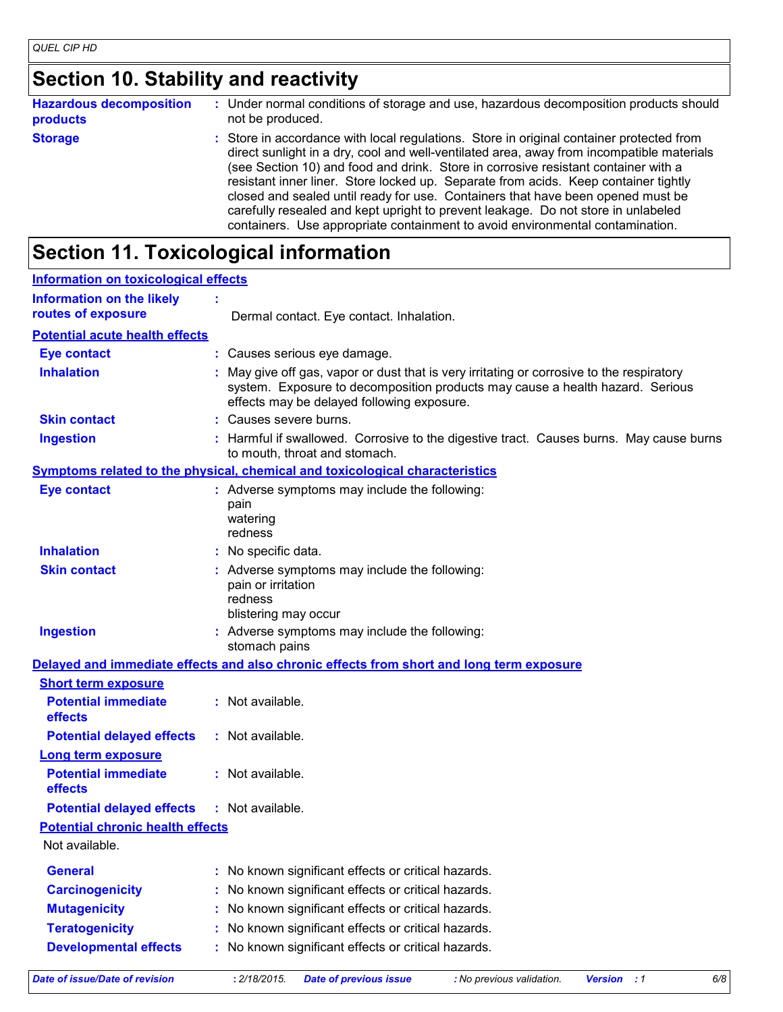## **Section 10. Stability and reactivity**

| <b>Hazardous decomposition</b> | Under normal conditions of storage and use, hazardous decomposition products should                                                                                                                                                                                                                                                                                                                                                                                                                                                                                                                                         |  |  |
|--------------------------------|-----------------------------------------------------------------------------------------------------------------------------------------------------------------------------------------------------------------------------------------------------------------------------------------------------------------------------------------------------------------------------------------------------------------------------------------------------------------------------------------------------------------------------------------------------------------------------------------------------------------------------|--|--|
| products                       | not be produced.                                                                                                                                                                                                                                                                                                                                                                                                                                                                                                                                                                                                            |  |  |
| <b>Storage</b>                 | : Store in accordance with local regulations. Store in original container protected from<br>direct sunlight in a dry, cool and well-ventilated area, away from incompatible materials<br>(see Section 10) and food and drink. Store in corrosive resistant container with a<br>resistant inner liner. Store locked up. Separate from acids. Keep container tightly<br>closed and sealed until ready for use. Containers that have been opened must be<br>carefully resealed and kept upright to prevent leakage. Do not store in unlabeled<br>containers. Use appropriate containment to avoid environmental contamination. |  |  |

## **Section 11. Toxicological information**

| <b>Information on toxicological effects</b>                        |                                                                                                                                                                                                                        |  |  |
|--------------------------------------------------------------------|------------------------------------------------------------------------------------------------------------------------------------------------------------------------------------------------------------------------|--|--|
| <b>Information on the likely</b>                                   |                                                                                                                                                                                                                        |  |  |
| routes of exposure                                                 | Dermal contact. Eye contact. Inhalation.                                                                                                                                                                               |  |  |
| <b>Potential acute health effects</b>                              |                                                                                                                                                                                                                        |  |  |
| <b>Eye contact</b>                                                 | : Causes serious eye damage.                                                                                                                                                                                           |  |  |
| <b>Inhalation</b>                                                  | May give off gas, vapor or dust that is very irritating or corrosive to the respiratory<br>system. Exposure to decomposition products may cause a health hazard. Serious<br>effects may be delayed following exposure. |  |  |
| <b>Skin contact</b>                                                | : Causes severe burns.                                                                                                                                                                                                 |  |  |
| <b>Ingestion</b>                                                   | : Harmful if swallowed. Corrosive to the digestive tract. Causes burns. May cause burns<br>to mouth, throat and stomach.                                                                                               |  |  |
|                                                                    | <b>Symptoms related to the physical, chemical and toxicological characteristics</b>                                                                                                                                    |  |  |
| <b>Eye contact</b>                                                 | : Adverse symptoms may include the following:<br>pain<br>watering<br>redness                                                                                                                                           |  |  |
| <b>Inhalation</b>                                                  | : No specific data.                                                                                                                                                                                                    |  |  |
| <b>Skin contact</b>                                                | : Adverse symptoms may include the following:<br>pain or irritation<br>redness<br>blistering may occur                                                                                                                 |  |  |
| <b>Ingestion</b>                                                   | Adverse symptoms may include the following:<br>stomach pains                                                                                                                                                           |  |  |
|                                                                    | Delayed and immediate effects and also chronic effects from short and long term exposure                                                                                                                               |  |  |
| <b>Short term exposure</b>                                         |                                                                                                                                                                                                                        |  |  |
| <b>Potential immediate</b><br>effects                              | : Not available.                                                                                                                                                                                                       |  |  |
| <b>Potential delayed effects</b>                                   | : Not available.                                                                                                                                                                                                       |  |  |
| <b>Long term exposure</b><br><b>Potential immediate</b><br>effects | : Not available.                                                                                                                                                                                                       |  |  |
| <b>Potential delayed effects</b>                                   | : Not available.                                                                                                                                                                                                       |  |  |
| <b>Potential chronic health effects</b>                            |                                                                                                                                                                                                                        |  |  |
| Not available.                                                     |                                                                                                                                                                                                                        |  |  |
| <b>General</b>                                                     | No known significant effects or critical hazards.                                                                                                                                                                      |  |  |
| <b>Carcinogenicity</b>                                             | No known significant effects or critical hazards.                                                                                                                                                                      |  |  |
| <b>Mutagenicity</b>                                                | No known significant effects or critical hazards.                                                                                                                                                                      |  |  |
| <b>Teratogenicity</b>                                              | No known significant effects or critical hazards.                                                                                                                                                                      |  |  |
| <b>Developmental effects</b>                                       | No known significant effects or critical hazards.                                                                                                                                                                      |  |  |
| <b>Date of issue/Date of revision</b>                              | : 2/18/2015.<br>6/8<br><b>Date of previous issue</b><br>: No previous validation.<br><b>Version</b> : 1                                                                                                                |  |  |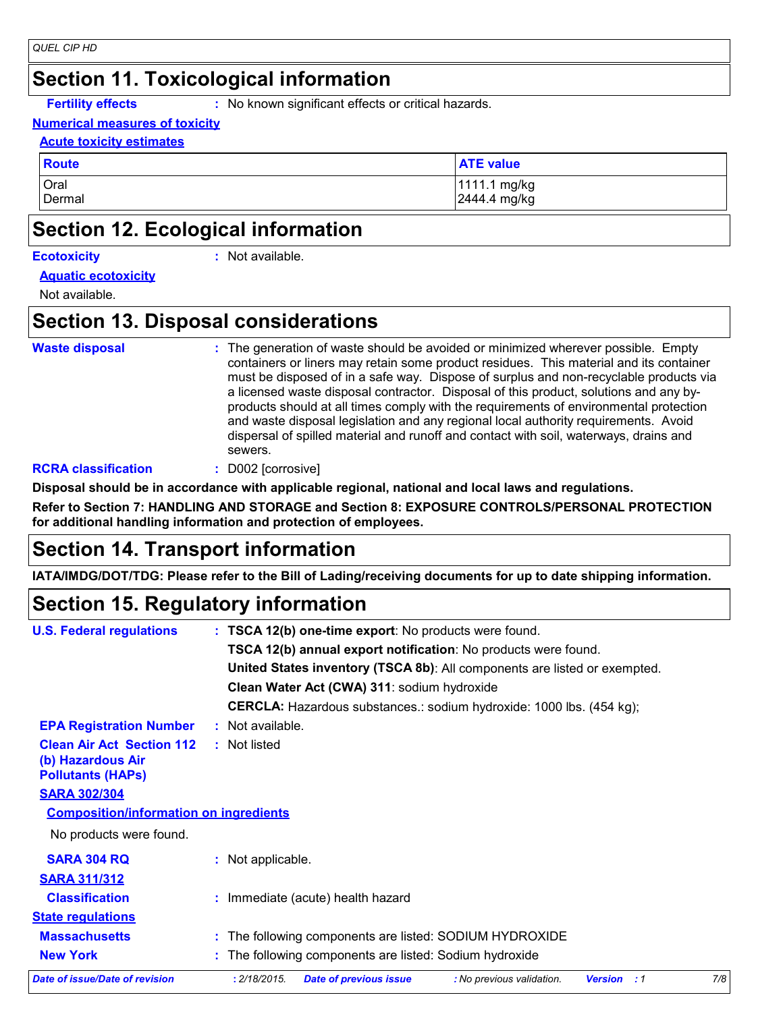### **Section 11. Toxicological information**

**Fertility effects :** No known significant effects or critical hazards.

#### **Numerical measures of toxicity**

#### **Acute toxicity estimates**

| <b>Route</b> | <b>ATE value</b> |
|--------------|------------------|
| Oral         | 1111.1 mg/kg     |
| Dermal       | 2444.4 mg/kg     |

### **Section 12. Ecological information**

|  |  | <b>Ecotoxicity</b> |
|--|--|--------------------|
|  |  |                    |
|  |  |                    |

**Ecotoxicity :** Not available.

**Aquatic ecotoxicity**

Not available.

### **Section 13. Disposal considerations**

```
Waste disposal :
```
The generation of waste should be avoided or minimized wherever possible. Empty containers or liners may retain some product residues. This material and its container must be disposed of in a safe way. Dispose of surplus and non-recyclable products via a licensed waste disposal contractor. Disposal of this product, solutions and any byproducts should at all times comply with the requirements of environmental protection and waste disposal legislation and any regional local authority requirements. Avoid dispersal of spilled material and runoff and contact with soil, waterways, drains and sewers.

#### **RCRA classification :** D002 [corrosive]

**Disposal should be in accordance with applicable regional, national and local laws and regulations.**

**Refer to Section 7: HANDLING AND STORAGE and Section 8: EXPOSURE CONTROLS/PERSONAL PROTECTION for additional handling information and protection of employees.**

### **Section 14. Transport information**

**IATA/IMDG/DOT/TDG: Please refer to the Bill of Lading/receiving documents for up to date shipping information.**

### **Section 15. Regulatory information**

| <b>U.S. Federal regulations</b>                                                   | : TSCA 12(b) one-time export: No products were found.                                                   |  |  |  |
|-----------------------------------------------------------------------------------|---------------------------------------------------------------------------------------------------------|--|--|--|
|                                                                                   | TSCA 12(b) annual export notification: No products were found.                                          |  |  |  |
|                                                                                   | United States inventory (TSCA 8b): All components are listed or exempted.                               |  |  |  |
|                                                                                   | Clean Water Act (CWA) 311: sodium hydroxide                                                             |  |  |  |
|                                                                                   | CERCLA: Hazardous substances.: sodium hydroxide: 1000 lbs. (454 kg);                                    |  |  |  |
| <b>EPA Registration Number</b>                                                    | : Not available.                                                                                        |  |  |  |
| <b>Clean Air Act Section 112</b><br>(b) Hazardous Air<br><b>Pollutants (HAPS)</b> | : Not listed                                                                                            |  |  |  |
| <b>SARA 302/304</b>                                                               |                                                                                                         |  |  |  |
| <b>Composition/information on ingredients</b>                                     |                                                                                                         |  |  |  |
| No products were found.                                                           |                                                                                                         |  |  |  |
| <b>SARA 304 RQ</b>                                                                | : Not applicable.                                                                                       |  |  |  |
| <b>SARA 311/312</b>                                                               |                                                                                                         |  |  |  |
| <b>Classification</b>                                                             | : Immediate (acute) health hazard                                                                       |  |  |  |
| <b>State regulations</b>                                                          |                                                                                                         |  |  |  |
| <b>Massachusetts</b>                                                              | : The following components are listed: SODIUM HYDROXIDE                                                 |  |  |  |
| <b>New York</b>                                                                   | : The following components are listed: Sodium hydroxide                                                 |  |  |  |
| Date of issue/Date of revision                                                    | : 2/18/2015.<br>7/8<br><b>Date of previous issue</b><br>: No previous validation.<br><b>Version</b> : 1 |  |  |  |